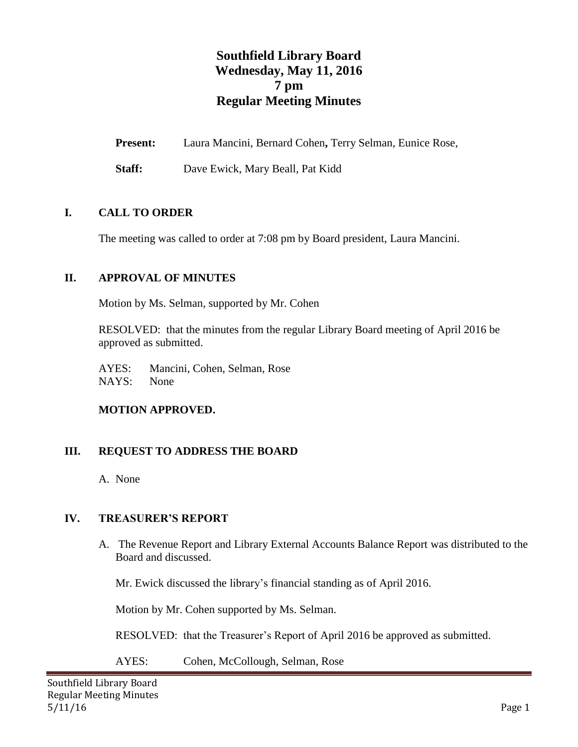# **Southfield Library Board Wednesday, May 11, 2016 7 pm Regular Meeting Minutes**

**Present:** Laura Mancini, Bernard Cohen**,** Terry Selman, Eunice Rose,

**Staff:** Dave Ewick, Mary Beall, Pat Kidd

### **I. CALL TO ORDER**

The meeting was called to order at 7:08 pm by Board president, Laura Mancini.

### **II. APPROVAL OF MINUTES**

Motion by Ms. Selman, supported by Mr. Cohen

RESOLVED: that the minutes from the regular Library Board meeting of April 2016 be approved as submitted.

AYES: Mancini, Cohen, Selman, Rose NAYS: None

### **MOTION APPROVED.**

### **III. REQUEST TO ADDRESS THE BOARD**

A. None

### **IV. TREASURER'S REPORT**

A. The Revenue Report and Library External Accounts Balance Report was distributed to the Board and discussed.

Mr. Ewick discussed the library's financial standing as of April 2016.

Motion by Mr. Cohen supported by Ms. Selman.

RESOLVED: that the Treasurer's Report of April 2016 be approved as submitted.

AYES: Cohen, McCollough, Selman, Rose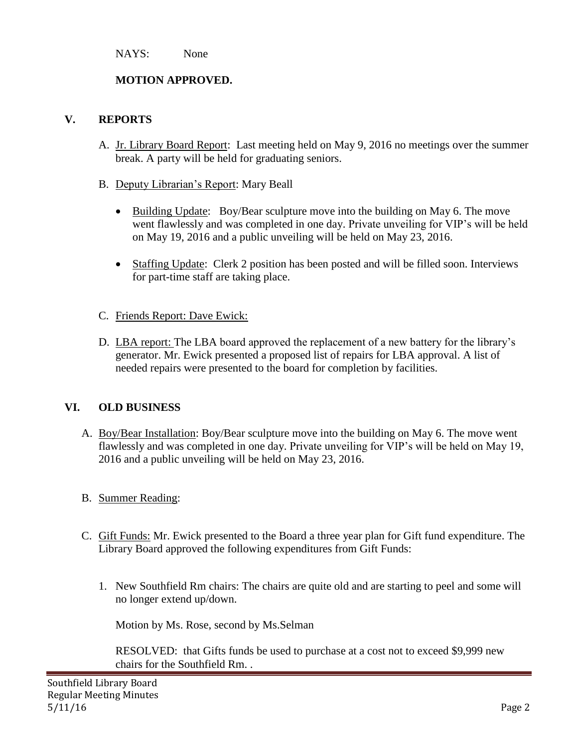NAYS: None

# **MOTION APPROVED.**

## **V. REPORTS**

- A. Jr. Library Board Report: Last meeting held on May 9, 2016 no meetings over the summer break. A party will be held for graduating seniors.
- B. Deputy Librarian's Report: Mary Beall
	- Building Update: Boy/Bear sculpture move into the building on May 6. The move went flawlessly and was completed in one day. Private unveiling for VIP's will be held on May 19, 2016 and a public unveiling will be held on May 23, 2016.
	- Staffing Update: Clerk 2 position has been posted and will be filled soon. Interviews for part-time staff are taking place.
- C. Friends Report: Dave Ewick:
- D. LBA report: The LBA board approved the replacement of a new battery for the library's generator. Mr. Ewick presented a proposed list of repairs for LBA approval. A list of needed repairs were presented to the board for completion by facilities.

# **VI. OLD BUSINESS**

- A. Boy/Bear Installation: Boy/Bear sculpture move into the building on May 6. The move went flawlessly and was completed in one day. Private unveiling for VIP's will be held on May 19, 2016 and a public unveiling will be held on May 23, 2016.
- B. Summer Reading:
- C. Gift Funds: Mr. Ewick presented to the Board a three year plan for Gift fund expenditure. The Library Board approved the following expenditures from Gift Funds:
	- 1. New Southfield Rm chairs: The chairs are quite old and are starting to peel and some will no longer extend up/down.

Motion by Ms. Rose, second by Ms.Selman

RESOLVED: that Gifts funds be used to purchase at a cost not to exceed \$9,999 new chairs for the Southfield Rm. .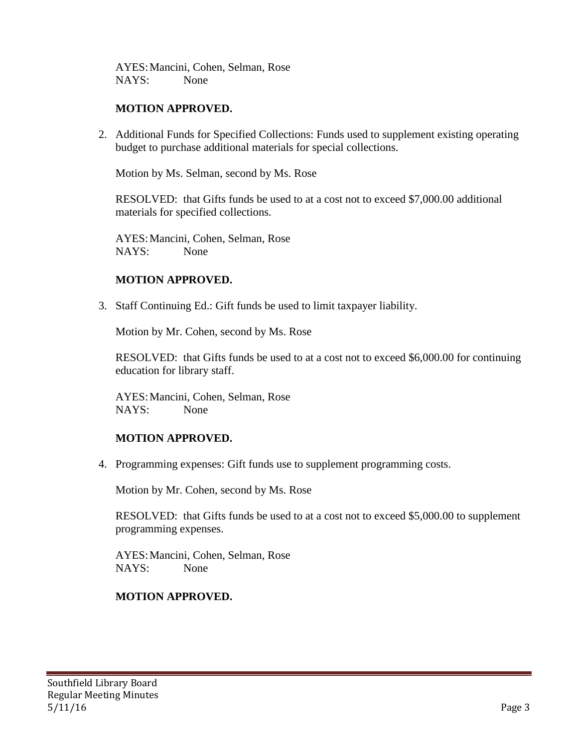AYES:Mancini, Cohen, Selman, Rose NAYS: None

### **MOTION APPROVED.**

2. Additional Funds for Specified Collections: Funds used to supplement existing operating budget to purchase additional materials for special collections.

Motion by Ms. Selman, second by Ms. Rose

RESOLVED: that Gifts funds be used to at a cost not to exceed \$7,000.00 additional materials for specified collections.

AYES:Mancini, Cohen, Selman, Rose NAYS: None

### **MOTION APPROVED.**

3. Staff Continuing Ed.: Gift funds be used to limit taxpayer liability.

Motion by Mr. Cohen, second by Ms. Rose

RESOLVED: that Gifts funds be used to at a cost not to exceed \$6,000.00 for continuing education for library staff.

AYES:Mancini, Cohen, Selman, Rose NAYS: None

### **MOTION APPROVED.**

4. Programming expenses: Gift funds use to supplement programming costs.

Motion by Mr. Cohen, second by Ms. Rose

RESOLVED: that Gifts funds be used to at a cost not to exceed \$5,000.00 to supplement programming expenses.

AYES:Mancini, Cohen, Selman, Rose NAYS: None

### **MOTION APPROVED.**